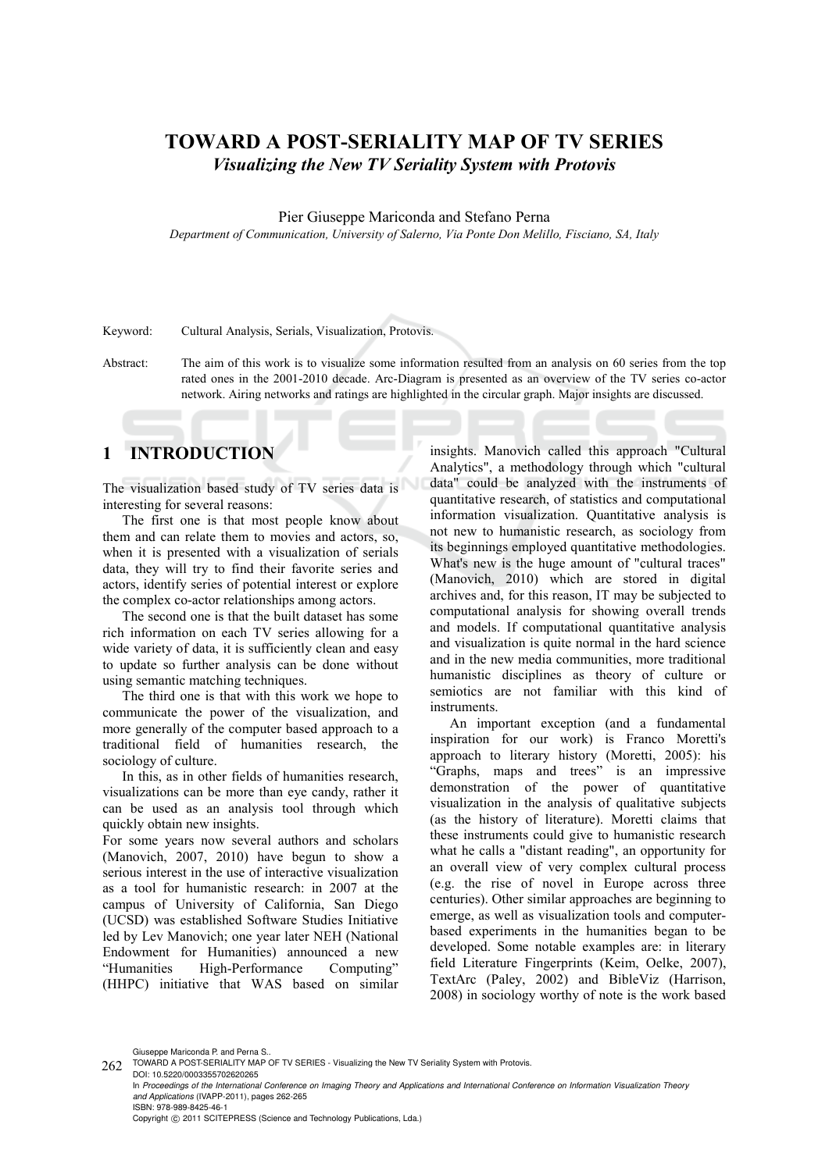# **TOWARD A POST-SERIALITY MAP OF TV SERIES**  *Visualizing the New TV Seriality System with Protovis*

#### Pier Giuseppe Mariconda and Stefano Perna

*Department of Communication, University of Salerno, Via Ponte Don Melillo, Fisciano, SA, Italy* 

Keyword: Cultural Analysis, Serials, Visualization, Protovis.

Abstract: The aim of this work is to visualize some information resulted from an analysis on 60 series from the top rated ones in the 2001-2010 decade. Arc-Diagram is presented as an overview of the TV series co-actor network. Airing networks and ratings are highlighted in the circular graph. Major insights are discussed.

# **1 INTRODUCTION**

The visualization based study of TV series data is interesting for several reasons:

The first one is that most people know about them and can relate them to movies and actors, so, when it is presented with a visualization of serials data, they will try to find their favorite series and actors, identify series of potential interest or explore the complex co-actor relationships among actors.

The second one is that the built dataset has some rich information on each TV series allowing for a wide variety of data, it is sufficiently clean and easy to update so further analysis can be done without using semantic matching techniques.

The third one is that with this work we hope to communicate the power of the visualization, and more generally of the computer based approach to a traditional field of humanities research, the sociology of culture.

In this, as in other fields of humanities research, visualizations can be more than eye candy, rather it can be used as an analysis tool through which quickly obtain new insights.

For some years now several authors and scholars (Manovich, 2007, 2010) have begun to show a serious interest in the use of interactive visualization as a tool for humanistic research: in 2007 at the campus of University of California, San Diego (UCSD) was established Software Studies Initiative led by Lev Manovich; one year later NEH (National Endowment for Humanities) announced a new "Humanities High-Performance Computing" (HHPC) initiative that WAS based on similar

insights. Manovich called this approach "Cultural Analytics", a methodology through which "cultural data" could be analyzed with the instruments of quantitative research, of statistics and computational information visualization. Quantitative analysis is not new to humanistic research, as sociology from its beginnings employed quantitative methodologies. What's new is the huge amount of "cultural traces" (Manovich, 2010) which are stored in digital archives and, for this reason, IT may be subjected to computational analysis for showing overall trends and models. If computational quantitative analysis and visualization is quite normal in the hard science and in the new media communities, more traditional humanistic disciplines as theory of culture or semiotics are not familiar with this kind of instruments.

An important exception (and a fundamental inspiration for our work) is Franco Moretti's approach to literary history (Moretti, 2005): his "Graphs, maps and trees" is an impressive demonstration of the power of quantitative visualization in the analysis of qualitative subjects (as the history of literature). Moretti claims that these instruments could give to humanistic research what he calls a "distant reading", an opportunity for an overall view of very complex cultural process (e.g. the rise of novel in Europe across three centuries). Other similar approaches are beginning to emerge, as well as visualization tools and computerbased experiments in the humanities began to be developed. Some notable examples are: in literary field Literature Fingerprints (Keim, Oelke, 2007), TextArc (Paley, 2002) and BibleViz (Harrison, 2008) in sociology worthy of note is the work based

Giuseppe Mariconda P. and Perna S..

DOI: 10.5220/0003355702620265 In *Proceedings of the International Conference on Imaging Theory and Applications and International Conference on Information Visualization Theory and Applications* (IVAPP-2011), pages 262-265 ISBN: 978-989-8425-46-1 Copyright © 2011 SCITEPRESS (Science and Technology Publications, Lda.)

<sup>262</sup> TOWARD A POST-SERIALITY MAP OF TV SERIES - Visualizing the New TV Seriality System with Protovis.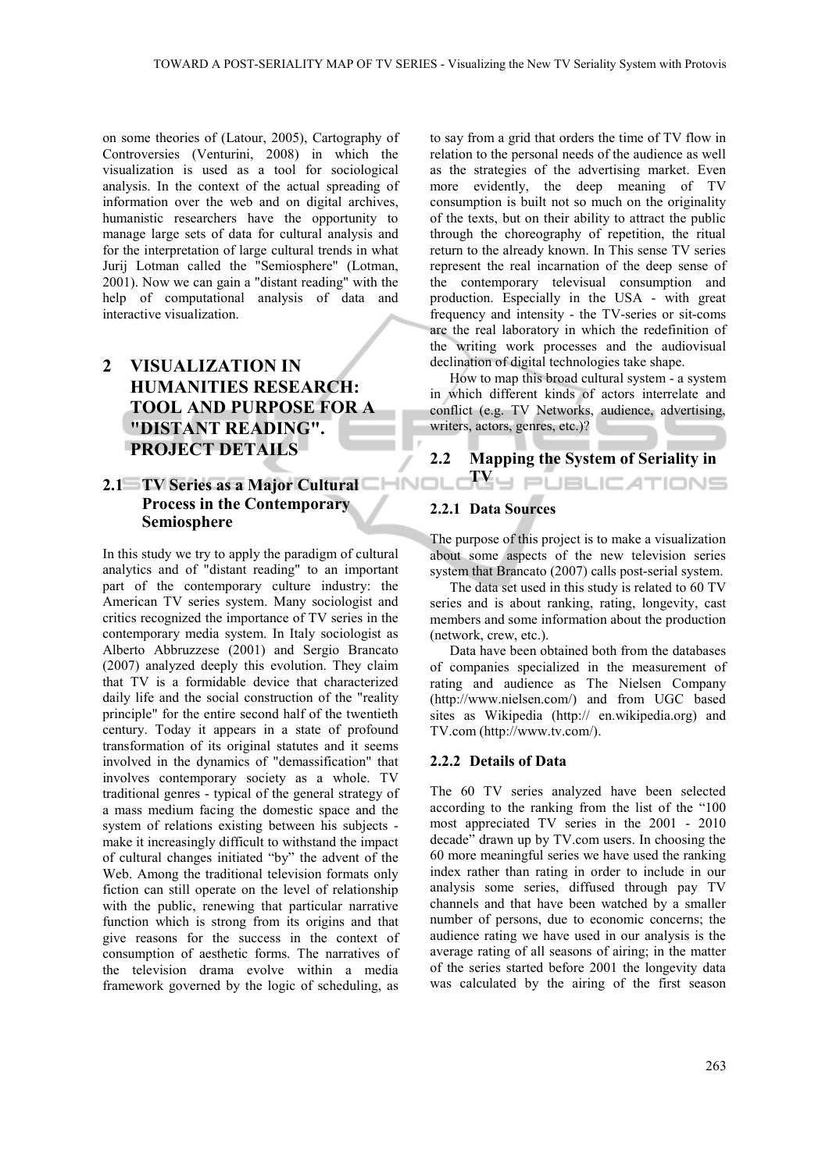on some theories of (Latour, 2005), Cartography of Controversies (Venturini, 2008) in which the visualization is used as a tool for sociological analysis. In the context of the actual spreading of information over the web and on digital archives, humanistic researchers have the opportunity to manage large sets of data for cultural analysis and for the interpretation of large cultural trends in what Jurij Lotman called the "Semiosphere" (Lotman, 2001). Now we can gain a "distant reading" with the help of computational analysis of data and interactive visualization.

# **2 VISUALIZATION IN HUMANITIES RESEARCH: TOOL AND PURPOSE FOR A "DISTANT READING". PROJECT DETAILS**

## **2.1 TV Series as a Major Cultural Process in the Contemporary Semiosphere**

In this study we try to apply the paradigm of cultural analytics and of "distant reading" to an important part of the contemporary culture industry: the American TV series system. Many sociologist and critics recognized the importance of TV series in the contemporary media system. In Italy sociologist as Alberto Abbruzzese (2001) and Sergio Brancato (2007) analyzed deeply this evolution. They claim that TV is a formidable device that characterized daily life and the social construction of the "reality principle" for the entire second half of the twentieth century. Today it appears in a state of profound transformation of its original statutes and it seems involved in the dynamics of "demassification" that involves contemporary society as a whole. TV traditional genres - typical of the general strategy of a mass medium facing the domestic space and the system of relations existing between his subjects make it increasingly difficult to withstand the impact of cultural changes initiated "by" the advent of the Web. Among the traditional television formats only fiction can still operate on the level of relationship with the public, renewing that particular narrative function which is strong from its origins and that give reasons for the success in the context of consumption of aesthetic forms. The narratives of the television drama evolve within a media framework governed by the logic of scheduling, as

to say from a grid that orders the time of TV flow in relation to the personal needs of the audience as well as the strategies of the advertising market. Even more evidently, the deep meaning of TV consumption is built not so much on the originality of the texts, but on their ability to attract the public through the choreography of repetition, the ritual return to the already known. In This sense TV series represent the real incarnation of the deep sense of the contemporary televisual consumption and production. Especially in the USA - with great frequency and intensity - the TV-series or sit-coms are the real laboratory in which the redefinition of the writing work processes and the audiovisual declination of digital technologies take shape.

How to map this broad cultural system - a system in which different kinds of actors interrelate and conflict (e.g. TV Networks, audience, advertising, writers, actors, genres, etc.)?

# **2.2 Mapping the System of Seriality in T**YU PÜBLICATIONS

### **2.2.1 Data Sources**

The purpose of this project is to make a visualization about some aspects of the new television series system that Brancato (2007) calls post-serial system.

The data set used in this study is related to 60 TV series and is about ranking, rating, longevity, cast members and some information about the production (network, crew, etc.).

Data have been obtained both from the databases of companies specialized in the measurement of rating and audience as The Nielsen Company (http://www.nielsen.com/) and from UGC based sites as Wikipedia (http:// en.wikipedia.org) and TV.com (http://www.tv.com/).

### **2.2.2 Details of Data**

The 60 TV series analyzed have been selected according to the ranking from the list of the "100 most appreciated TV series in the 2001 - 2010 decade" drawn up by TV.com users. In choosing the 60 more meaningful series we have used the ranking index rather than rating in order to include in our analysis some series, diffused through pay TV channels and that have been watched by a smaller number of persons, due to economic concerns; the audience rating we have used in our analysis is the average rating of all seasons of airing; in the matter of the series started before 2001 the longevity data was calculated by the airing of the first season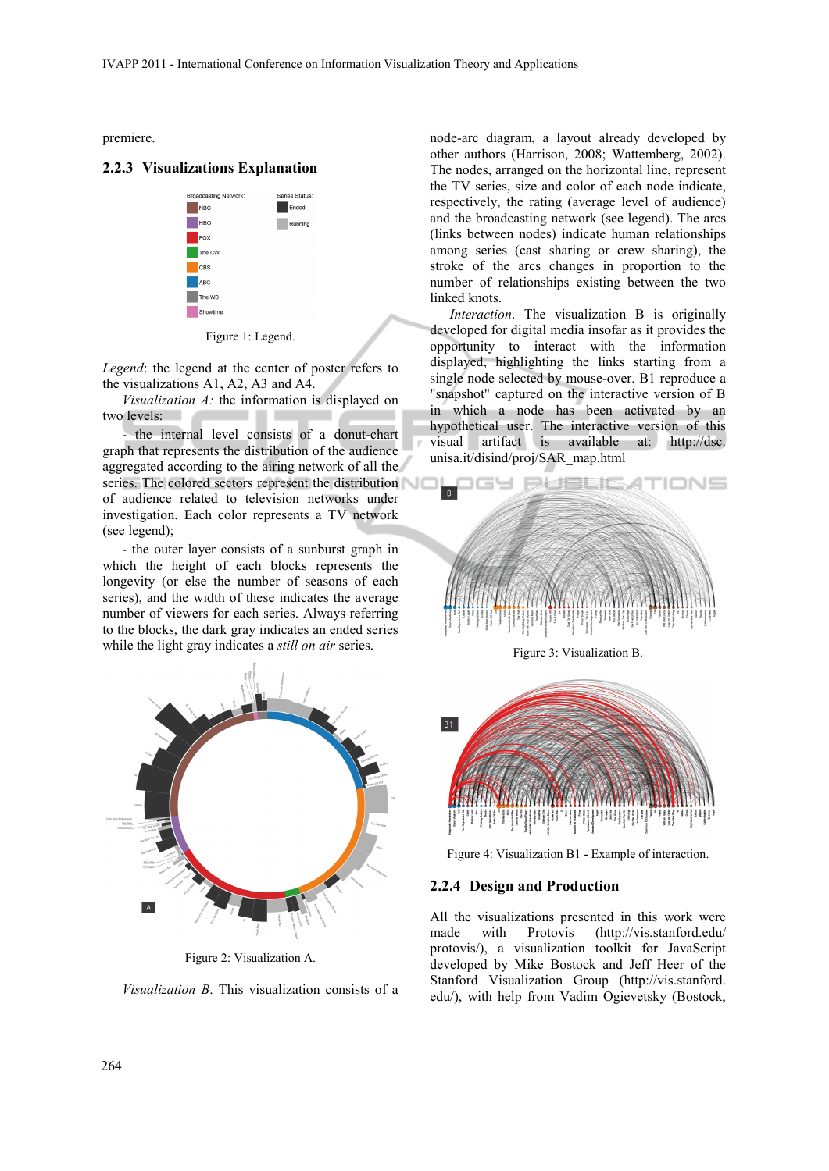premiere.

#### **2.2.3 Visualizations Explanation**



Figure 1: Legend.

*Legend*: the legend at the center of poster refers to the visualizations A1, A2, A3 and A4.

*Visualization A:* the information is displayed on two levels: 

- the internal level consists of a donut-chart graph that represents the distribution of the audience aggregated according to the airing network of all the series. The colored sectors represent the distribution of audience related to television networks under investigation. Each color represents a TV network (see legend);

- the outer layer consists of a sunburst graph in which the height of each blocks represents the longevity (or else the number of seasons of each series), and the width of these indicates the average number of viewers for each series. Always referring to the blocks, the dark gray indicates an ended series while the light gray indicates a *still on air* series.



Figure 2: Visualization A.

*Visualization B*. This visualization consists of a

node-arc diagram, a layout already developed by other authors (Harrison, 2008; Wattemberg, 2002). The nodes, arranged on the horizontal line, represent the TV series, size and color of each node indicate, respectively, the rating (average level of audience) and the broadcasting network (see legend). The arcs (links between nodes) indicate human relationships among series (cast sharing or crew sharing), the stroke of the arcs changes in proportion to the number of relationships existing between the two linked knots.

*Interaction*. The visualization B is originally developed for digital media insofar as it provides the opportunity to interact with the information displayed, highlighting the links starting from a single node selected by mouse-over. B1 reproduce a "snapshot" captured on the interactive version of B in which a node has been activated by an hypothetical user. The interactive version of this visual artifact is available at: http://dsc. unisa.it/disind/proj/SAR\_map.html



Figure 3: Visualization B.



Figure 4: Visualization B1 - Example of interaction.

### **2.2.4 Design and Production**

All the visualizations presented in this work were made with Protovis (http://vis.stanford.edu/ protovis/), a visualization toolkit for JavaScript developed by Mike Bostock and Jeff Heer of the Stanford Visualization Group (http://vis.stanford. edu/), with help from Vadim Ogievetsky (Bostock,